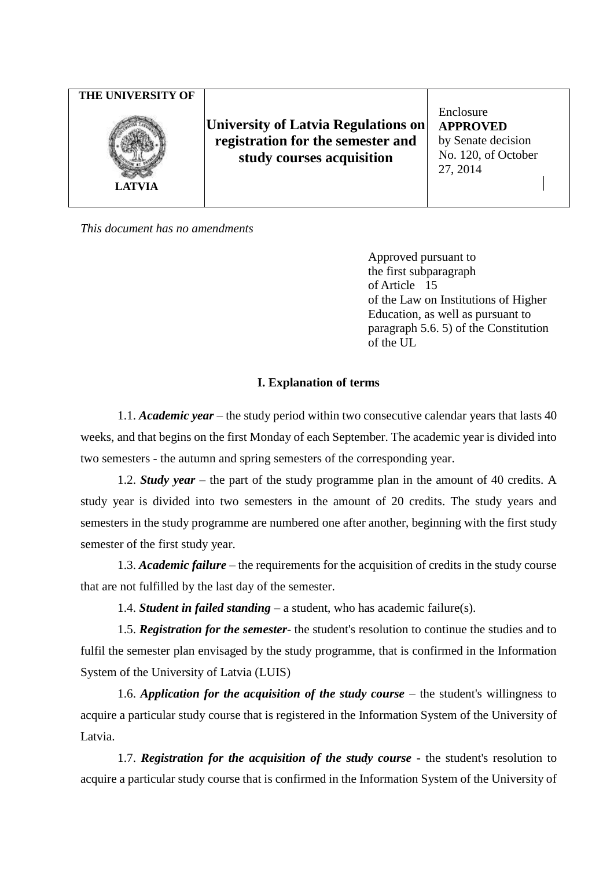*This document has no amendments*

Approved pursuant to the first subparagraph of Article 15 of the Law on Institutions of Higher Education, as well as pursuant to paragraph 5.6. 5) of the Constitution of the UL

# **I. Explanation of terms**

1.1. *Academic year* – the study period within two consecutive calendar years that lasts 40 weeks, and that begins on the first Monday of each September. The academic year is divided into two semesters - the autumn and spring semesters of the corresponding year.

1.2. *Study year* – the part of the study programme plan in the amount of 40 credits. A study year is divided into two semesters in the amount of 20 credits. The study years and semesters in the study programme are numbered one after another, beginning with the first study semester of the first study year.

1.3. *Academic failure –* the requirements for the acquisition of credits in the study course that are not fulfilled by the last day of the semester.

1.4. *Student in failed standing –* a student, who has academic failure(s).

1.5. *Registration for the semester*- the student's resolution to continue the studies and to fulfil the semester plan envisaged by the study programme, that is confirmed in the Information System of the University of Latvia (LUIS)

1.6. *Application for the acquisition of the study course* – the student's willingness to acquire a particular study course that is registered in the Information System of the University of Latvia.

1.7. *Registration for the acquisition of the study course* - the student's resolution to acquire a particular study course that is confirmed in the Information System of the University of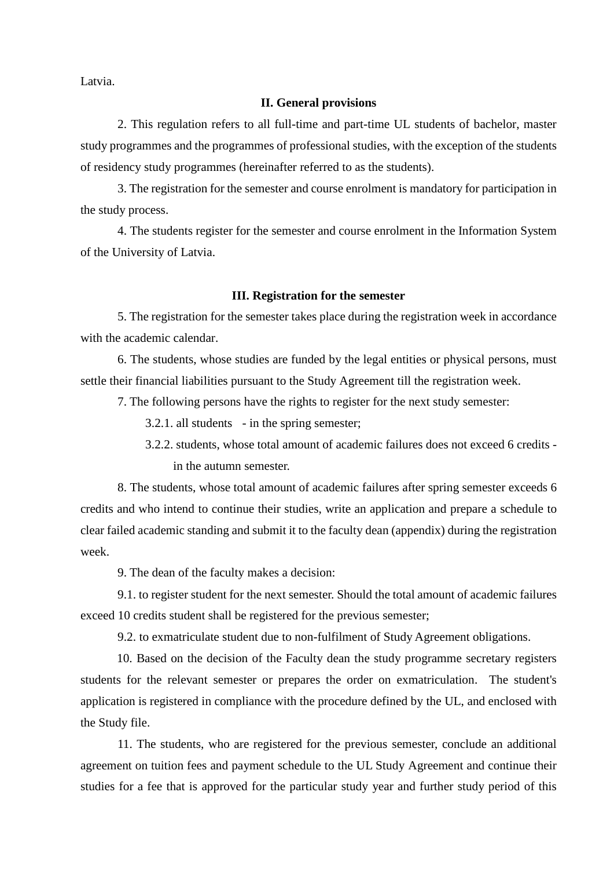Latvia.

#### **II. General provisions**

2. This regulation refers to all full-time and part-time UL students of bachelor, master study programmes and the programmes of professional studies, with the exception of the students of residency study programmes (hereinafter referred to as the students).

3. The registration for the semester and course enrolment is mandatory for participation in the study process.

4. The students register for the semester and course enrolment in the Information System of the University of Latvia.

# **III. Registration for the semester**

5. The registration for the semester takes place during the registration week in accordance with the academic calendar.

6. The students, whose studies are funded by the legal entities or physical persons, must settle their financial liabilities pursuant to the Study Agreement till the registration week.

7. The following persons have the rights to register for the next study semester:

3.2.1. all students - in the spring semester;

3.2.2. students, whose total amount of academic failures does not exceed 6 credits in the autumn semester.

8. The students, whose total amount of academic failures after spring semester exceeds 6 credits and who intend to continue their studies, write an application and prepare a schedule to clear failed academic standing and submit it to the faculty dean (appendix) during the registration week.

9. The dean of the faculty makes a decision:

9.1. to register student for the next semester. Should the total amount of academic failures exceed 10 credits student shall be registered for the previous semester;

9.2. to exmatriculate student due to non-fulfilment of Study Agreement obligations.

10. Based on the decision of the Faculty dean the study programme secretary registers students for the relevant semester or prepares the order on exmatriculation. The student's application is registered in compliance with the procedure defined by the UL, and enclosed with the Study file.

11. The students, who are registered for the previous semester, conclude an additional agreement on tuition fees and payment schedule to the UL Study Agreement and continue their studies for a fee that is approved for the particular study year and further study period of this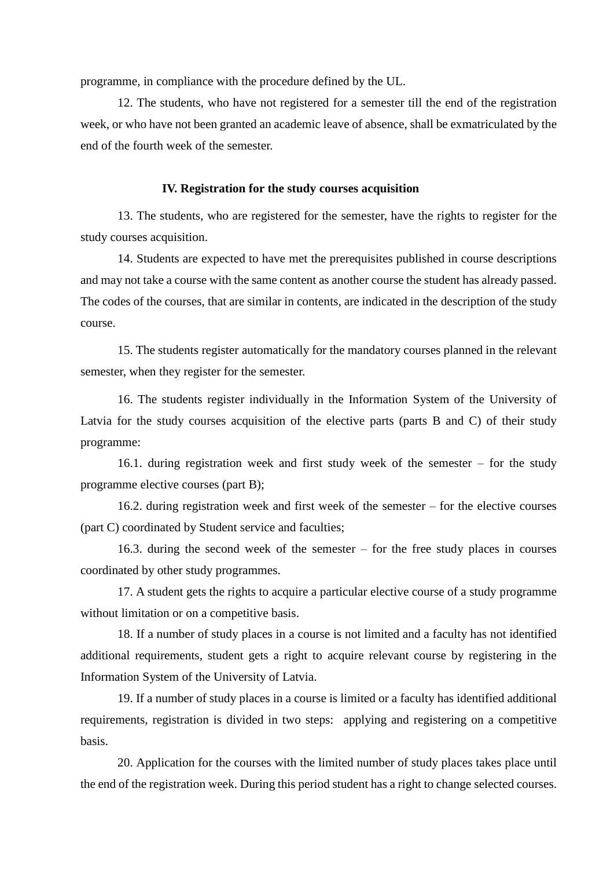programme, in compliance with the procedure defined by the UL.

12. The students, who have not registered for a semester till the end of the registration week, or who have not been granted an academic leave of absence, shall be exmatriculated by the end of the fourth week of the semester.

#### **IV. Registration for the study courses acquisition**

13. The students, who are registered for the semester, have the rights to register for the study courses acquisition.

14. Students are expected to have met the prerequisites published in course descriptions and may not take a course with the same content as another course the student has already passed. The codes of the courses, that are similar in contents, are indicated in the description of the study course.

15. The students register automatically for the mandatory courses planned in the relevant semester, when they register for the semester.

16. The students register individually in the Information System of the University of Latvia for the study courses acquisition of the elective parts (parts B and C) of their study programme:

16.1. during registration week and first study week of the semester – for the study programme elective courses (part B);

16.2. during registration week and first week of the semester – for the elective courses (part C) coordinated by Student service and faculties;

16.3. during the second week of the semester – for the free study places in courses coordinated by other study programmes.

17. A student gets the rights to acquire a particular elective course of a study programme without limitation or on a competitive basis.

18. If a number of study places in a course is not limited and a faculty has not identified additional requirements, student gets a right to acquire relevant course by registering in the Information System of the University of Latvia.

19. If a number of study places in a course is limited or a faculty has identified additional requirements, registration is divided in two steps: applying and registering on a competitive basis.

20. Application for the courses with the limited number of study places takes place until the end of the registration week. During this period student has a right to change selected courses.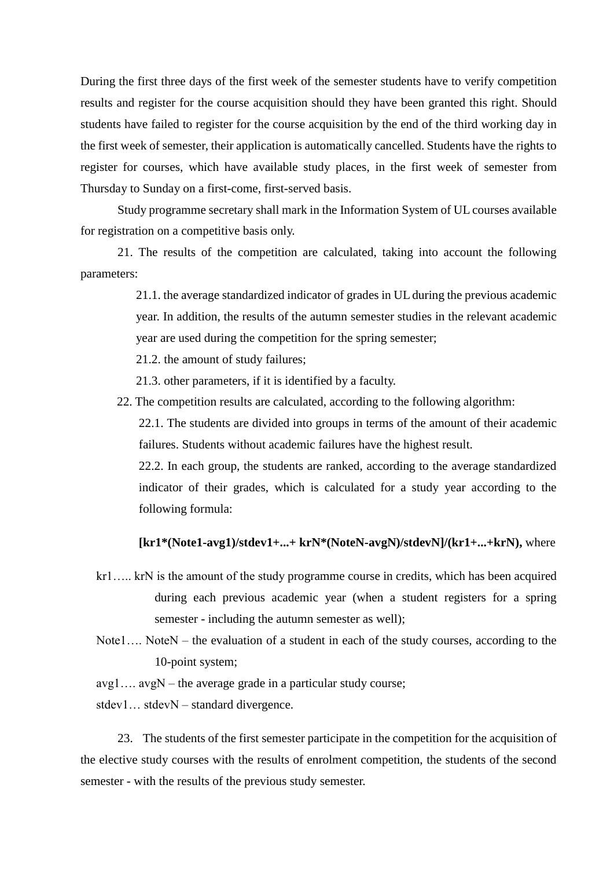During the first three days of the first week of the semester students have to verify competition results and register for the course acquisition should they have been granted this right. Should students have failed to register for the course acquisition by the end of the third working day in the first week of semester, their application is automatically cancelled. Students have the rights to register for courses, which have available study places, in the first week of semester from Thursday to Sunday on a first-come, first-served basis.

Study programme secretary shall mark in the Information System of UL courses available for registration on a competitive basis only.

21. The results of the competition are calculated, taking into account the following parameters:

> 21.1. the average standardized indicator of grades in UL during the previous academic year. In addition, the results of the autumn semester studies in the relevant academic year are used during the competition for the spring semester;

21.2. the amount of study failures;

21.3. other parameters, if it is identified by a faculty.

22. The competition results are calculated, according to the following algorithm:

22.1. The students are divided into groups in terms of the amount of their academic failures. Students without academic failures have the highest result.

22.2. In each group, the students are ranked, according to the average standardized indicator of their grades, which is calculated for a study year according to the following formula:

### **[kr1\*(Note1-avg1)/stdev1+...+ krN\*(NoteN-avgN)/stdevN]/(kr1+...+krN),** where

- kr1….. krN is the amount of the study programme course in credits, which has been acquired during each previous academic year (when a student registers for a spring semester - including the autumn semester as well);
- Note1.... NoteN the evaluation of a student in each of the study courses, according to the 10-point system;

avg1…. avgN – the average grade in a particular study course;

stdev1… stdevN – standard divergence.

23. The students of the first semester participate in the competition for the acquisition of the elective study courses with the results of enrolment competition, the students of the second semester - with the results of the previous study semester.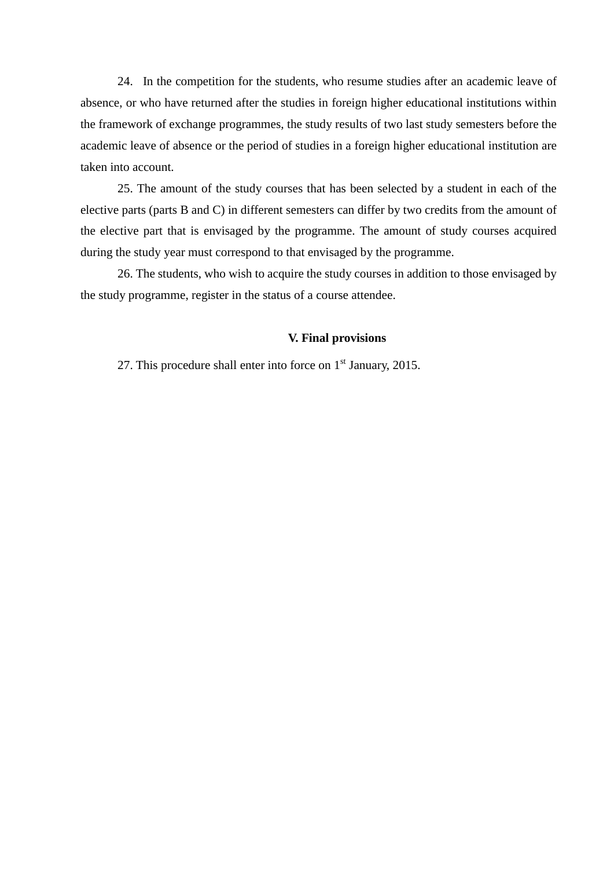24. In the competition for the students, who resume studies after an academic leave of absence, or who have returned after the studies in foreign higher educational institutions within the framework of exchange programmes, the study results of two last study semesters before the academic leave of absence or the period of studies in a foreign higher educational institution are taken into account.

25. The amount of the study courses that has been selected by a student in each of the elective parts (parts B and C) in different semesters can differ by two credits from the amount of the elective part that is envisaged by the programme. The amount of study courses acquired during the study year must correspond to that envisaged by the programme.

26. The students, who wish to acquire the study courses in addition to those envisaged by the study programme, register in the status of a course attendee.

### **V. Final provisions**

27. This procedure shall enter into force on 1<sup>st</sup> January, 2015.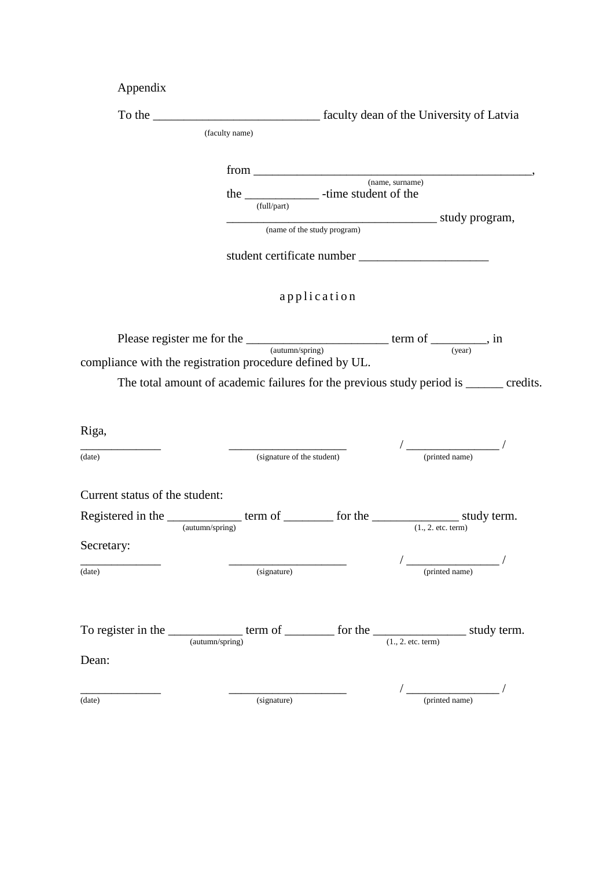| Appendix                       |                                                                                                                                                     |                             |                                                                                                                                                                                                                                                                                                                                                     |  |  |
|--------------------------------|-----------------------------------------------------------------------------------------------------------------------------------------------------|-----------------------------|-----------------------------------------------------------------------------------------------------------------------------------------------------------------------------------------------------------------------------------------------------------------------------------------------------------------------------------------------------|--|--|
|                                |                                                                                                                                                     |                             |                                                                                                                                                                                                                                                                                                                                                     |  |  |
|                                | (faculty name)                                                                                                                                      |                             |                                                                                                                                                                                                                                                                                                                                                     |  |  |
|                                | the _______________ -time student of the<br>(full/part)                                                                                             | (name of the study program) |                                                                                                                                                                                                                                                                                                                                                     |  |  |
|                                |                                                                                                                                                     | application                 |                                                                                                                                                                                                                                                                                                                                                     |  |  |
|                                | Please register me for the $\frac{1}{(autumn/spring)}$ term of $\frac{1}{(year)}$ , in<br>compliance with the registration procedure defined by UL. |                             |                                                                                                                                                                                                                                                                                                                                                     |  |  |
|                                | The total amount of academic failures for the previous study period is ______ credits.                                                              |                             |                                                                                                                                                                                                                                                                                                                                                     |  |  |
|                                |                                                                                                                                                     |                             |                                                                                                                                                                                                                                                                                                                                                     |  |  |
| Riga,                          |                                                                                                                                                     |                             | $\begin{picture}(20,10) \put(0,0){\line(1,0){10}} \put(15,0){\line(1,0){10}} \put(15,0){\line(1,0){10}} \put(15,0){\line(1,0){10}} \put(15,0){\line(1,0){10}} \put(15,0){\line(1,0){10}} \put(15,0){\line(1,0){10}} \put(15,0){\line(1,0){10}} \put(15,0){\line(1,0){10}} \put(15,0){\line(1,0){10}} \put(15,0){\line(1,0){10}} \put(15,0){\line(1$ |  |  |
| (date)                         | (signature of the student)                                                                                                                          |                             | (printed name)                                                                                                                                                                                                                                                                                                                                      |  |  |
| Current status of the student: |                                                                                                                                                     |                             |                                                                                                                                                                                                                                                                                                                                                     |  |  |
|                                |                                                                                                                                                     |                             |                                                                                                                                                                                                                                                                                                                                                     |  |  |
| Secretary:                     |                                                                                                                                                     |                             |                                                                                                                                                                                                                                                                                                                                                     |  |  |
| (date)                         | (signature)                                                                                                                                         |                             | (printed name)                                                                                                                                                                                                                                                                                                                                      |  |  |
| Dean:                          | To register in the _______________ term of __________ for the __________________ study term.<br>$\frac{1}{(autumn/spring)}$                         |                             | (1., 2. etc. term)                                                                                                                                                                                                                                                                                                                                  |  |  |
| (date)                         | (signature)                                                                                                                                         |                             | (printed name)                                                                                                                                                                                                                                                                                                                                      |  |  |